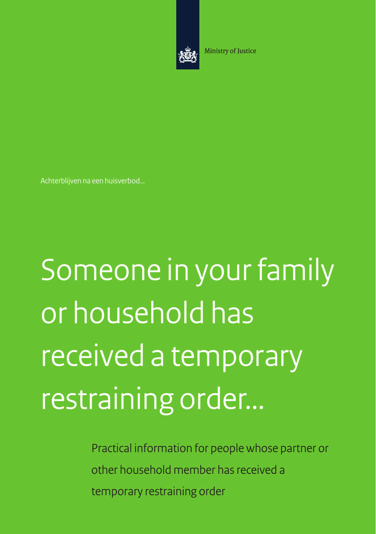

Ministry of Justice

Achterblijven na een huisverbod...

Someone in your family or household has received a temporary restraining order…

> Practical information for people whose partner or other household member has received a temporary restraining order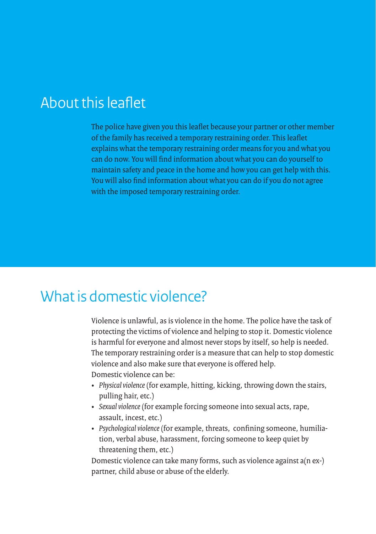# About this leaflet

The police have given you this leaflet because your partner or other member of the family has received a temporary restraining order. This leaflet explains what the temporary restraining order means for you and what you can do now. You will find information about what you can do yourself to maintain safety and peace in the home and how you can get help with this. You will also find information about what you can do if you do not agree with the imposed temporary restraining order.

#### What is domestic violence?

Violence is unlawful, as is violence in the home. The police have the task of protecting the victims of violence and helping to stop it. Domestic violence is harmful for everyone and almost never stops by itself, so help is needed. The temporary restraining order is a measure that can help to stop domestic violence and also make sure that everyone is offered help. Domestic violence can be:

- • *Physical violence* (for example, hitting, kicking, throwing down the stairs, pulling hair, etc.)
- • *Sexual violence* (for example forcing someone into sexual acts, rape, assault, incest, etc.)
- • *Psychological violence* (for example, threats, confining someone, humiliation, verbal abuse, harassment, forcing someone to keep quiet by threatening them, etc.)

Domestic violence can take many forms, such as violence against a(n ex-) partner, child abuse or abuse of the elderly.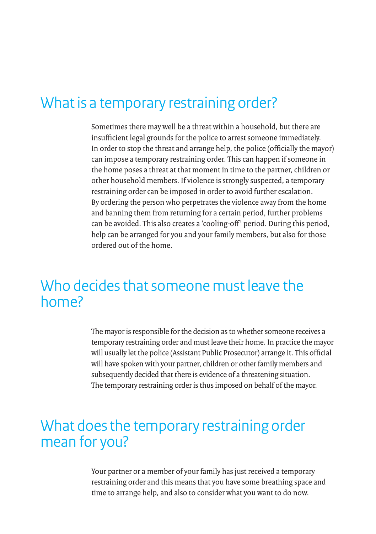# What is a temporary restraining order?

Sometimes there may well be a threat within a household, but there are insufficient legal grounds for the police to arrest someone immediately. In order to stop the threat and arrange help, the police (officially the mayor) can impose a temporary restraining order. This can happen if someone in the home poses a threat at that moment in time to the partner, children or other household members. If violence is strongly suspected, a temporary restraining order can be imposed in order to avoid further escalation. By ordering the person who perpetrates the violence away from the home and banning them from returning for a certain period, further problems can be avoided. This also creates a 'cooling-off' period. During this period, help can be arranged for you and your family members, but also for those ordered out of the home.

### Who decides that someone must leave the home?

The mayor is responsible for the decision as to whether someone receives a temporary restraining order and must leave their home. In practice the mayor will usually let the police (Assistant Public Prosecutor) arrange it. This official will have spoken with your partner, children or other family members and subsequently decided that there is evidence of a threatening situation. The temporary restraining order is thus imposed on behalf of the mayor.

#### What does the temporary restraining order mean for you?

Your partner or a member of your family has just received a temporary restraining order and this means that you have some breathing space and time to arrange help, and also to consider what you want to do now.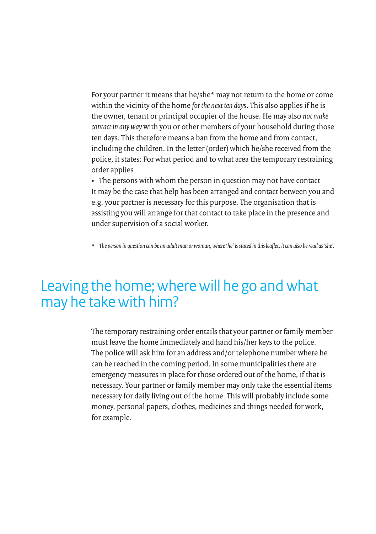For your partner it means that he/she\* may not return to the home or come within the vicinity of the home *for the next ten days*. This also applies if he is the owner, tenant or principal occupier of the house. He may also *not make contact in any way* with you or other members of your household during those ten days. This therefore means a ban from the home and from contact, including the children. In the letter (order) which he/she received from the police, it states: For what period and to what area the temporary restraining order applies

• The persons with whom the person in question may not have contact It may be the case that help has been arranged and contact between you and e.g. your partner is necessary for this purpose. The organisation that is assisting you will arrange for that contact to take place in the presence and under supervision of a social worker.

*\* The person in question can be an adult man or woman; where 'he' is stated in this leaflet, it can also be read as 'she'.*

# Leaving the home; where will he go and what may he take with him?

The temporary restraining order entails that your partner or family member must leave the home immediately and hand his/her keys to the police. The police will ask him for an address and/or telephone number where he can be reached in the coming period. In some municipalities there are emergency measures in place for those ordered out of the home, if that is necessary. Your partner or family member may only take the essential items necessary for daily living out of the home. This will probably include some money, personal papers, clothes, medicines and things needed for work, for example.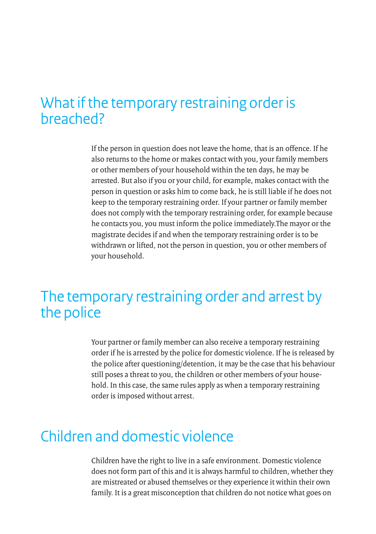### What if the temporary restraining order is breached?

If the person in question does not leave the home, that is an offence. If he also returns to the home or makes contact with you, your family members or other members of your household within the ten days, he may be arrested. But also if you or your child, for example, makes contact with the person in question or asks him to come back, he is still liable if he does not keep to the temporary restraining order. If your partner or family member does not comply with the temporary restraining order, for example because he contacts you, you must inform the police immediately.The mayor or the magistrate decides if and when the temporary restraining order is to be withdrawn or lifted, not the person in question, you or other members of your household.

### The temporary restraining order and arrest by the police

Your partner or family member can also receive a temporary restraining order if he is arrested by the police for domestic violence. If he is released by the police after questioning/detention, it may be the case that his behaviour still poses a threat to you, the children or other members of your household. In this case, the same rules apply as when a temporary restraining order is imposed without arrest.

# Children and domestic violence

Children have the right to live in a safe environment. Domestic violence does not form part of this and it is always harmful to children, whether they are mistreated or abused themselves or they experience it within their own family. It is a great misconception that children do not notice what goes on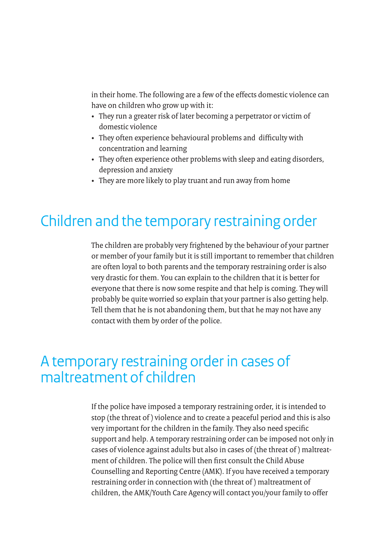in their home. The following are a few of the effects domestic violence can have on children who grow up with it:

- They run a greater risk of later becoming a perpetrator or victim of domestic violence
- • They often experience behavioural problems and difficulty with concentration and learning
- They often experience other problems with sleep and eating disorders, depression and anxiety
- They are more likely to play truant and run away from home

# Children and the temporary restraining order

The children are probably very frightened by the behaviour of your partner or member of your family but it is still important to remember that children are often loyal to both parents and the temporary restraining order is also very drastic for them. You can explain to the children that it is better for everyone that there is now some respite and that help is coming. They will probably be quite worried so explain that your partner is also getting help. Tell them that he is not abandoning them, but that he may not have any contact with them by order of the police.

# A temporary restraining order in cases of maltreatment of children

If the police have imposed a temporary restraining order, it is intended to stop (the threat of ) violence and to create a peaceful period and this is also very important for the children in the family. They also need specific support and help. A temporary restraining order can be imposed not only in cases of violence against adults but also in cases of (the threat of ) maltreatment of children. The police will then first consult the Child Abuse Counselling and Reporting Centre (AMK). If you have received a temporary restraining order in connection with (the threat of ) maltreatment of children, the AMK/Youth Care Agency will contact you/your family to offer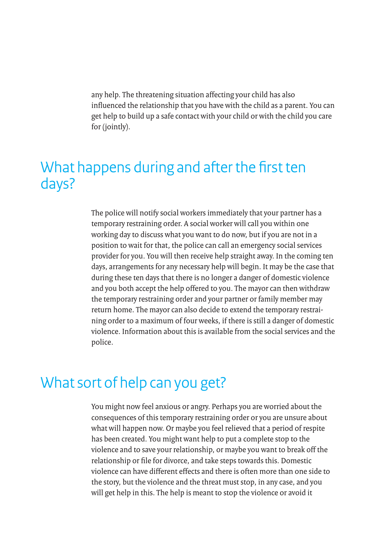any help. The threatening situation affecting your child has also influenced the relationship that you have with the child as a parent. You can get help to build up a safe contact with your child or with the child you care for (jointly).

## What happens during and after the first ten days?

The police will notify social workers immediately that your partner has a temporary restraining order. A social worker will call you within one working day to discuss what you want to do now, but if you are not in a position to wait for that, the police can call an emergency social services provider for you. You will then receive help straight away. In the coming ten days, arrangements for any necessary help will begin. It may be the case that during these ten days that there is no longer a danger of domestic violence and you both accept the help offered to you. The mayor can then withdraw the temporary restraining order and your partner or family member may return home. The mayor can also decide to extend the temporary restraining order to a maximum of four weeks, if there is still a danger of domestic violence. Information about this is available from the social services and the police.

#### What sort of help can you get?

You might now feel anxious or angry. Perhaps you are worried about the consequences of this temporary restraining order or you are unsure about what will happen now. Or maybe you feel relieved that a period of respite has been created. You might want help to put a complete stop to the violence and to save your relationship, or maybe you want to break off the relationship or file for divorce, and take steps towards this. Domestic violence can have different effects and there is often more than one side to the story, but the violence and the threat must stop, in any case, and you will get help in this. The help is meant to stop the violence or avoid it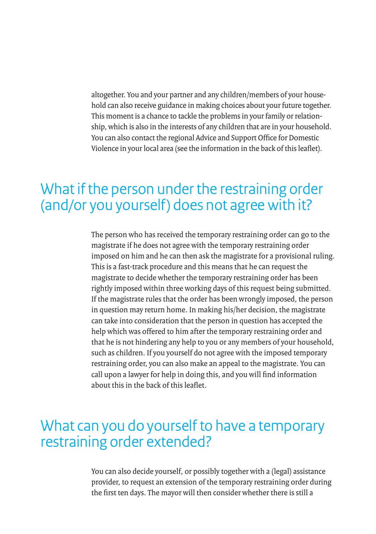altogether. You and your partner and any children/members of your household can also receive guidance in making choices about your future together. This moment is a chance to tackle the problems in your family or relationship, which is also in the interests of any children that are in your household. You can also contact the regional Advice and Support Office for Domestic Violence in your local area (see the information in the back of this leaflet).

### What if the person under the restraining order (and/or you yourself) does not agree with it?

The person who has received the temporary restraining order can go to the magistrate if he does not agree with the temporary restraining order imposed on him and he can then ask the magistrate for a provisional ruling. This is a fast-track procedure and this means that he can request the magistrate to decide whether the temporary restraining order has been rightly imposed within three working days of this request being submitted. If the magistrate rules that the order has been wrongly imposed, the person in question may return home. In making his/her decision, the magistrate can take into consideration that the person in question has accepted the help which was offered to him after the temporary restraining order and that he is not hindering any help to you or any members of your household, such as children. If you yourself do not agree with the imposed temporary restraining order, you can also make an appeal to the magistrate. You can call upon a lawyer for help in doing this, and you will find information about this in the back of this leaflet.

#### What can you do yourself to have a temporary restraining order extended?

You can also decide yourself, or possibly together with a (legal) assistance provider, to request an extension of the temporary restraining order during the first ten days. The mayor will then consider whether there is still a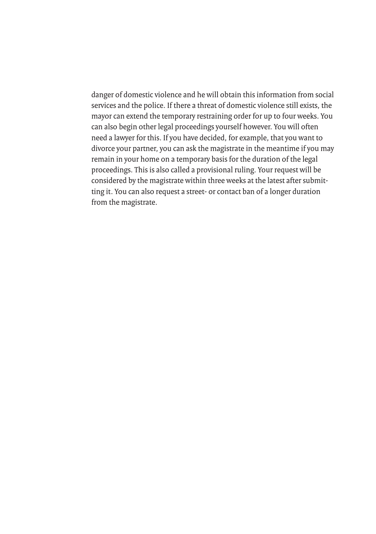danger of domestic violence and he will obtain this information from social services and the police. If there a threat of domestic violence still exists, the mayor can extend the temporary restraining order for up to four weeks. You can also begin other legal proceedings yourself however. You will often need a lawyer for this. If you have decided, for example, that you want to divorce your partner, you can ask the magistrate in the meantime if you may remain in your home on a temporary basis for the duration of the legal proceedings. This is also called a provisional ruling. Your request will be considered by the magistrate within three weeks at the latest after submitting it. You can also request a street- or contact ban of a longer duration from the magistrate.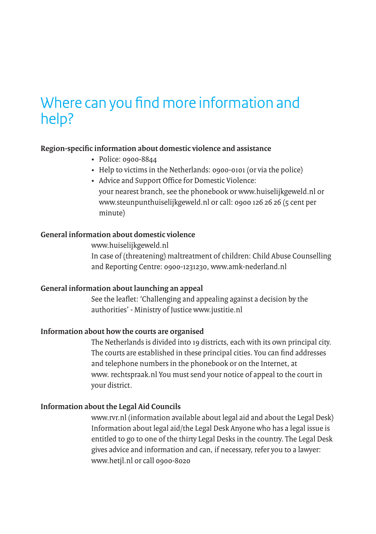# Where can you find more information and help?

#### **Region-specific information about domestic violence and assistance**

- Police: 0900-8844
- Help to victims in the Netherlands: 0900-0101 (or via the police)
- Advice and Support Office for Domestic Violence: your nearest branch, see the phonebook or www.huiselijkgeweld.nl or www.steunpunthuiselijkgeweld.nl or call: 0900 126 26 26 (5 cent per minute)

#### **General information about domestic violence**

www.huiselijkgeweld.nl In case of (threatening) maltreatment of children: Child Abuse Counselling and Reporting Centre: 0900-1231230, www.amk-nederland.nl

#### **General information about launching an appeal**

See the leaflet: 'Challenging and appealing against a decision by the authorities' - Ministry of Justice www.justitie.nl

#### **Information about how the courts are organised**

The Netherlands is divided into 19 districts, each with its own principal city. The courts are established in these principal cities. You can find addresses and telephone numbers in the phonebook or on the Internet, at www. rechtspraak.nl You must send your notice of appeal to the court in your district.

#### **Information about the Legal Aid Councils**

www.rvr.nl (information available about legal aid and about the Legal Desk) Information about legal aid/the Legal Desk Anyone who has a legal issue is entitled to go to one of the thirty Legal Desks in the country. The Legal Desk gives advice and information and can, if necessary, refer you to a lawyer: www.hetjl.nl or call 0900-8020